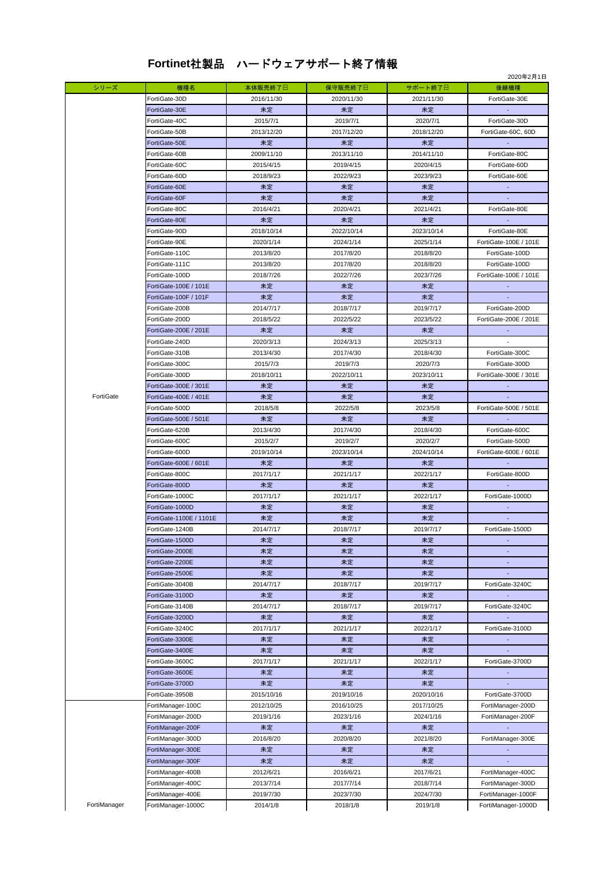## **Fortinet**社製品 ハードウェアサポート終了情報

|              |                         |            |            |            | 2020年2月1日             |
|--------------|-------------------------|------------|------------|------------|-----------------------|
| シリーズ         | 機種名                     | 本体販売終了日    | 保守販売終了日    | サポート終了日    | 後継機種                  |
|              | FortiGate-30D           | 2016/11/30 | 2020/11/30 | 2021/11/30 | FortiGate-30E         |
|              | FortiGate-30E           | 未定         | 未定         | 未定         |                       |
|              | FortiGate-40C           | 2015/7/1   | 2019/7/1   | 2020/7/1   | FortiGate-30D         |
|              | FortiGate-50B           | 2013/12/20 | 2017/12/20 | 2018/12/20 | FortiGate-60C, 60D    |
|              | FortiGate-50E           | 未定         | 未定         | 未定         |                       |
|              | FortiGate-60B           | 2009/11/10 | 2013/11/10 | 2014/11/10 | FortiGate-80C         |
|              | FortiGate-60C           | 2015/4/15  | 2019/4/15  | 2020/4/15  | FortiGate-60D         |
|              | FortiGate-60D           | 2018/9/23  | 2022/9/23  | 2023/9/23  | FortiGate-60E         |
|              | FortiGate-60E           | 未定         | 未定         | 未定         |                       |
|              | FortiGate-60F           | 未定         | 未定         | 未定         |                       |
|              | FortiGate-80C           | 2016/4/21  | 2020/4/21  | 2021/4/21  | FortiGate-80E         |
|              | FortiGate-80E           | 未定         | 未定         | 未定         |                       |
|              | FortiGate-90D           | 2018/10/14 | 2022/10/14 | 2023/10/14 | FortiGate-80E         |
|              |                         |            |            |            |                       |
|              | FortiGate-90E           | 2020/1/14  | 2024/1/14  | 2025/1/14  | FortiGate-100E / 101E |
|              | FortiGate-110C          | 2013/8/20  | 2017/8/20  | 2018/8/20  | FortiGate-100D        |
|              | FortiGate-111C          | 2013/8/20  | 2017/8/20  | 2018/8/20  | FortiGate-100D        |
|              | FortiGate-100D          | 2018/7/26  | 2022/7/26  | 2023/7/26  | FortiGate-100E / 101E |
|              | FortiGate-100E / 101E   | 未定         | 未定         | 未定         |                       |
|              | FortiGate-100F / 101F   | 未定         | 未定         | 未定         |                       |
|              | FortiGate-200B          | 2014/7/17  | 2018/7/17  | 2019/7/17  | FortiGate-200D        |
|              | FortiGate-200D          | 2018/5/22  | 2022/5/22  | 2023/5/22  | FortiGate-200E / 201E |
|              | FortiGate-200E / 201E   | 未定         | 未定         | 未定         |                       |
|              | FortiGate-240D          | 2020/3/13  | 2024/3/13  | 2025/3/13  |                       |
|              | FortiGate-310B          | 2013/4/30  | 2017/4/30  | 2018/4/30  | FortiGate-300C        |
|              | FortiGate-300C          | 2015/7/3   | 2019/7/3   | 2020/7/3   | FortiGate-300D        |
|              | FortiGate-300D          | 2018/10/11 | 2022/10/11 | 2023/10/11 | FortiGate-300E / 301E |
|              | FortiGate-300E / 301E   | 未定         | 未定         | 未定         |                       |
| FortiGate    | FortiGate-400E / 401E   | 未定         | 未定         | 未定         |                       |
|              | FortiGate-500D          | 2018/5/8   | 2022/5/8   | 2023/5/8   | FortiGate-500E / 501E |
|              | FortiGate-500E / 501E   | 未定         | 未定         | 未定         |                       |
|              |                         |            |            |            |                       |
|              | FortiGate-620B          | 2013/4/30  | 2017/4/30  | 2018/4/30  | FortiGate-600C        |
|              | FortiGate-600C          | 2015/2/7   | 2019/2/7   | 2020/2/7   | FortiGate-500D        |
|              | FortiGate-600D          | 2019/10/14 | 2023/10/14 | 2024/10/14 | FortiGate-600E / 601E |
|              | FortiGate-600E / 601E   | 未定         | 未定         | 未定         |                       |
|              | FortiGate-800C          | 2017/1/17  | 2021/1/17  | 2022/1/17  | FortiGate-800D        |
|              | FortiGate-800D          | 未定         | 未定         | 未定         |                       |
|              | FortiGate-1000C         | 2017/1/17  | 2021/1/17  | 2022/1/17  | FortiGate-1000D       |
|              | FortiGate-1000D         | 未定         | 未定         | 未定         |                       |
|              | FortiGate-1100E / 1101E | 未定         | 未定         | 未定         |                       |
|              | FortiGate-1240B         | 2014/7/17  | 2018/7/17  | 2019/7/17  | FortiGate-1500D       |
|              | FortiGate-1500D         | 未定         | 未定         | 未定         |                       |
|              | FortiGate-2000E         | 未定         | 未定         | 未定         |                       |
|              | FortiGate-2200E         | 未定         | 未定         | 未定         |                       |
|              | FortiGate-2500E         | 未定         | 未定         | 未定         |                       |
|              | FortiGate-3040B         | 2014/7/17  | 2018/7/17  | 2019/7/17  | FortiGate-3240C       |
|              | FortiGate-3100D         | 未定         | 未定         | 未定         | ш.                    |
|              | FortiGate-3140B         | 2014/7/17  | 2018/7/17  | 2019/7/17  | FortiGate-3240C       |
|              | FortiGate-3200D         | 未定         | 未定         | 未定         |                       |
|              | FortiGate-3240C         | 2017/1/17  | 2021/1/17  | 2022/1/17  | FortiGate-3100D       |
|              | FortiGate-3300E         | 未定         | 未定         | 未定         |                       |
|              |                         |            |            |            |                       |
|              | FortiGate-3400E         | 未定         | 未定         | 未定         |                       |
|              | FortiGate-3600C         | 2017/1/17  | 2021/1/17  | 2022/1/17  | FortiGate-3700D       |
|              | FortiGate-3600E         | 未定         | 未定         | 未定         |                       |
|              | FortiGate-3700D         | 未定         | 未定         | 未定         |                       |
|              | FortiGate-3950B         | 2015/10/16 | 2019/10/16 | 2020/10/16 | FortiGate-3700D       |
|              | FortiManager-100C       | 2012/10/25 | 2016/10/25 | 2017/10/25 | FortiManager-200D     |
|              | FortiManager-200D       | 2019/1/16  | 2023/1/16  | 2024/1/16  | FortiManager-200F     |
|              | FortiManager-200F       | 未定         | 未定         | 未定         |                       |
|              | FortiManager-300D       | 2016/8/20  | 2020/8/20  | 2021/8/20  | FortiManager-300E     |
|              | FortiManager-300E       | 未定         | 未定         | 未定         | $\overline{a}$        |
|              | FortiManager-300F       | 未定         | 未定         | 未定         |                       |
|              | FortiManager-400B       | 2012/6/21  | 2016/6/21  | 2017/6/21  | FortiManager-400C     |
|              | FortiManager-400C       | 2013/7/14  | 2017/7/14  | 2018/7/14  | FortiManager-300D     |
|              | FortiManager-400E       | 2019/7/30  | 2023/7/30  | 2024/7/30  | FortiManager-1000F    |
| FortiManager | FortiManager-1000C      | 2014/1/8   | 2018/1/8   | 2019/1/8   | FortiManager-1000D    |
|              |                         |            |            |            |                       |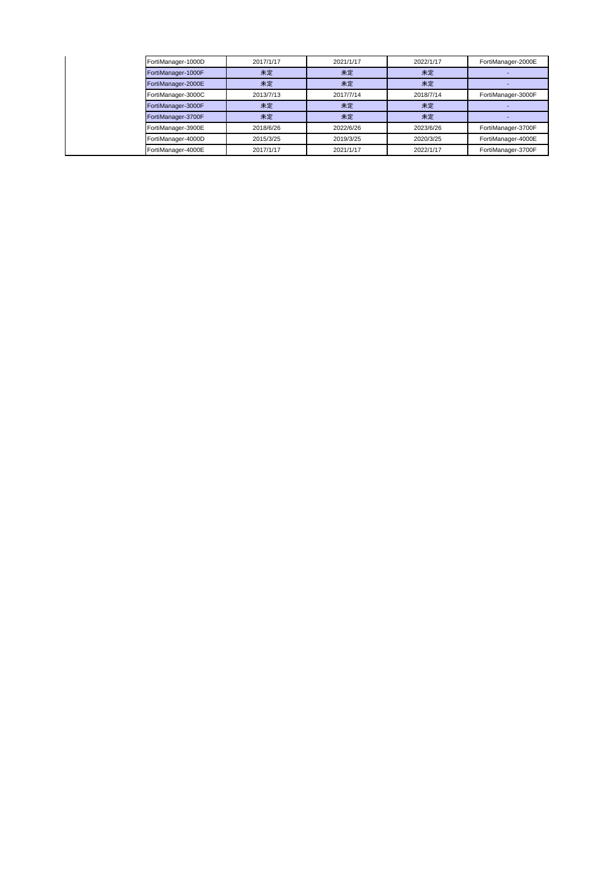|  | FortiManager-1000D | 2017/1/17 | 2021/1/17 | 2022/1/17 | FortiManager-2000E |
|--|--------------------|-----------|-----------|-----------|--------------------|
|  | FortiManager-1000F | 未定        | 未定        | 未定        |                    |
|  | FortiManager-2000E | 未定        | 未定        | 未定        |                    |
|  | FortiManager-3000C | 2013/7/13 | 2017/7/14 | 2018/7/14 | FortiManager-3000F |
|  | FortiManager-3000F | 未定        | 未定        | 未定        |                    |
|  | FortiManager-3700F | 未定        | 未定        | 未定        |                    |
|  | FortiManager-3900E | 2018/6/26 | 2022/6/26 | 2023/6/26 | FortiManager-3700F |
|  | FortiManager-4000D | 2015/3/25 | 2019/3/25 | 2020/3/25 | FortiManager-4000E |
|  | FortiManager-4000E | 2017/1/17 | 2021/1/17 | 2022/1/17 | FortiManager-3700F |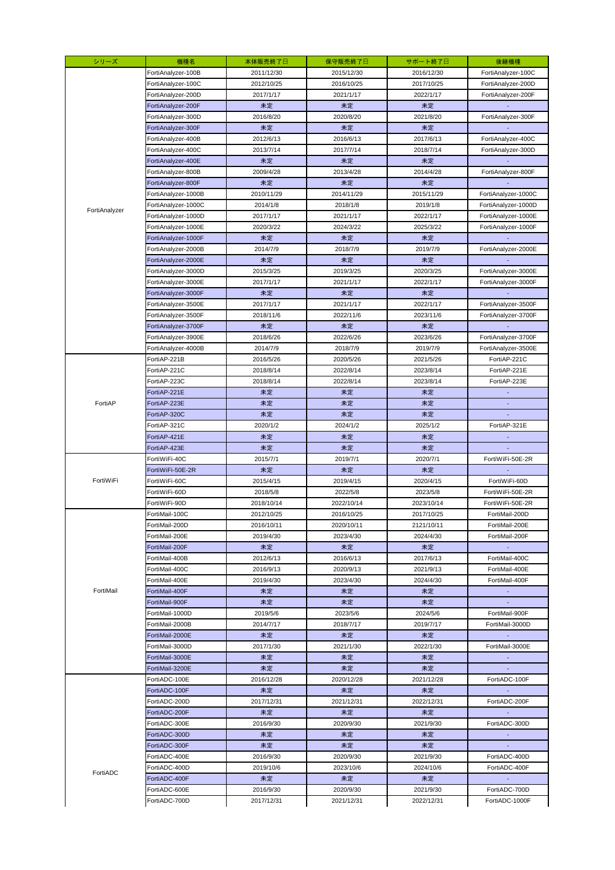| シリーズ          | 機種名                 | 本体販売終了日    | 保守販売終了日    | サポート終了日    | 後継機種                     |
|---------------|---------------------|------------|------------|------------|--------------------------|
|               | FortiAnalyzer-100B  | 2011/12/30 | 2015/12/30 | 2016/12/30 | FortiAnalyzer-100C       |
|               | FortiAnalyzer-100C  | 2012/10/25 | 2016/10/25 | 2017/10/25 | FortiAnalyzer-200D       |
|               | FortiAnalyzer-200D  | 2017/1/17  | 2021/1/17  | 2022/1/17  | FortiAnalyzer-200F       |
|               | FortiAnalyzer-200F  | 未定         | 未定         | 未定         |                          |
|               | FortiAnalyzer-300D  | 2016/8/20  | 2020/8/20  | 2021/8/20  | FortiAnalyzer-300F       |
|               | FortiAnalyzer-300F  | 未定         | 未定         | 未定         |                          |
|               | FortiAnalyzer-400B  | 2012/6/13  | 2016/6/13  | 2017/6/13  | FortiAnalyzer-400C       |
|               | FortiAnalyzer-400C  | 2013/7/14  | 2017/7/14  | 2018/7/14  | FortiAnalyzer-300D       |
|               | FortiAnalyzer-400E  | 未定         | 未定         | 未定         |                          |
|               | FortiAnalyzer-800B  | 2009/4/28  | 2013/4/28  | 2014/4/28  | FortiAnalyzer-800F       |
|               | FortiAnalyzer-800F  | 未定         | 未定         | 未定         |                          |
|               | FortiAnalyzer-1000B | 2010/11/29 | 2014/11/29 | 2015/11/29 | FortiAnalyzer-1000C      |
| FortiAnalyzer | FortiAnalyzer-1000C | 2014/1/8   | 2018/1/8   | 2019/1/8   | FortiAnalyzer-1000D      |
|               | FortiAnalyzer-1000D | 2017/1/17  | 2021/1/17  | 2022/1/17  | FortiAnalyzer-1000E      |
|               | FortiAnalyzer-1000E | 2020/3/22  | 2024/3/22  | 2025/3/22  | FortiAnalyzer-1000F      |
|               | FortiAnalyzer-1000F | 未定         | 未定         | 未定         |                          |
|               | FortiAnalyzer-2000B | 2014/7/9   | 2018/7/9   | 2019/7/9   | FortiAnalyzer-2000E      |
|               | FortiAnalyzer-2000E | 未定         | 未定         | 未定         |                          |
|               | FortiAnalyzer-3000D | 2015/3/25  | 2019/3/25  | 2020/3/25  | FortiAnalyzer-3000E      |
|               | FortiAnalyzer-3000E | 2017/1/17  | 2021/1/17  | 2022/1/17  | FortiAnalyzer-3000F      |
|               | FortiAnalyzer-3000F | 未定         | 未定         | 未定         |                          |
|               | FortiAnalyzer-3500E | 2017/1/17  | 2021/1/17  | 2022/1/17  | FortiAnalyzer-3500F      |
|               | FortiAnalyzer-3500F | 2018/11/6  | 2022/11/6  | 2023/11/6  | FortiAnalyzer-3700F      |
|               | FortiAnalyzer-3700F | 未定         | 未定         | 未定         |                          |
|               | FortiAnalyzer-3900E | 2018/6/26  | 2022/6/26  | 2023/6/26  | FortiAnalyzer-3700F      |
|               | FortiAnalyzer-4000B | 2014/7/9   | 2018/7/9   | 2019/7/9   | FortiAnalyzer-3500E      |
|               | FortiAP-221B        | 2016/5/26  | 2020/5/26  | 2021/5/26  | FortiAP-221C             |
|               | FortiAP-221C        | 2018/8/14  | 2022/8/14  | 2023/8/14  | FortiAP-221E             |
|               | FortiAP-223C        | 2018/8/14  | 2022/8/14  | 2023/8/14  | FortiAP-223E             |
|               | FortiAP-221E        | 未定         | 未定         | 未定         | $\overline{\phantom{a}}$ |
| FortiAP       | FortiAP-223E        | 未定         | 未定         | 未定         | ÷                        |
|               | FortiAP-320C        | 未定         | 未定         | 未定         | ÷                        |
|               | FortiAP-321C        | 2020/1/2   | 2024/1/2   | 2025/1/2   | FortiAP-321E             |
|               | FortiAP-421E        | 未定         | 未定         | 未定         |                          |
|               | FortiAP-423E        | 未定         | 未定         | 未定         | ÷                        |
|               | FortiWiFi-40C       | 2015/7/1   | 2019/7/1   | 2020/7/1   | FortiWiFi-50E-2R         |
|               | FortiWiFi-50E-2R    | 未定         | 未定         | 未定         |                          |
| FortiWiFi     | FortiWiFi-60C       | 2015/4/15  | 2019/4/15  | 2020/4/15  | FortiWiFi-60D            |
|               | FortiWiFi-60D       | 2018/5/8   | 2022/5/8   | 2023/5/8   | FortiWiFi-50E-2R         |
|               | FortiWiFi-90D       | 2018/10/14 | 2022/10/14 | 2023/10/14 | FortiWiFi-50E-2R         |
|               | FortiMail-100C      | 2012/10/25 | 2016/10/25 | 2017/10/25 | FortiMail-200D           |
|               | FortiMail-200D      | 2016/10/11 | 2020/10/11 | 2121/10/11 | FortiMail-200E           |
|               | FortiMail-200E      | 2019/4/30  | 2023/4/30  | 2024/4/30  | FortiMail-200F           |
|               | FortiMail-200F      | 未定         | 未定         | 未定         | $\sim$                   |
|               | FortiMail-400B      | 2012/6/13  | 2016/6/13  | 2017/6/13  | FortiMail-400C           |
|               | FortiMail-400C      | 2016/9/13  | 2020/9/13  | 2021/9/13  | FortiMail-400E           |
|               | FortiMail-400E      | 2019/4/30  | 2023/4/30  | 2024/4/30  | FortiMail-400F           |
| FortiMail     | FortiMail-400F      | 未定         | 未定         | 未定         | $\sim$                   |
|               | FortiMail-900F      | 未定         | 未定         | 未定         | $\sim$                   |
|               | FortiMail-1000D     | 2019/5/6   | 2023/5/6   | 2024/5/6   | FortiMail-900F           |
|               | FortiMail-2000B     | 2014/7/17  | 2018/7/17  | 2019/7/17  | FortiMail-3000D          |
|               | FortiMail-2000E     | 未定         | 未定         | 未定         |                          |
|               | FortiMail-3000D     | 2017/1/30  | 2021/1/30  | 2022/1/30  | FortiMail-3000E          |
|               | FortiMail-3000E     | 未定         | 未定         | 未定         |                          |
|               | FortiMail-3200E     | 未定         | 未定         | 未定         |                          |
|               | FortiADC-100E       | 2016/12/28 | 2020/12/28 | 2021/12/28 | FortiADC-100F            |
|               | FortiADC-100F       | 未定         | 未定         | 未定         |                          |
|               | FortiADC-200D       | 2017/12/31 | 2021/12/31 | 2022/12/31 | FortiADC-200F            |
|               | FortiADC-200F       | 未定         | 未定         | 未定         |                          |
|               | FortiADC-300E       | 2016/9/30  | 2020/9/30  | 2021/9/30  | FortiADC-300D            |
|               | FortiADC-300D       | 未定         | 未定         | 未定         |                          |
|               | FortiADC-300F       | 未定         | 未定         | 未定         | $\blacksquare$           |
|               | FortiADC-400E       | 2016/9/30  | 2020/9/30  | 2021/9/30  | FortiADC-400D            |
| FortiADC      | FortiADC-400D       | 2019/10/6  | 2023/10/6  | 2024/10/6  | FortiADC-400F            |
|               | FortiADC-400F       | 未定         | 未定         | 未定         |                          |
|               | FortiADC-600E       | 2016/9/30  | 2020/9/30  | 2021/9/30  | FortiADC-700D            |
|               | FortiADC-700D       | 2017/12/31 | 2021/12/31 | 2022/12/31 | FortiADC-1000F           |